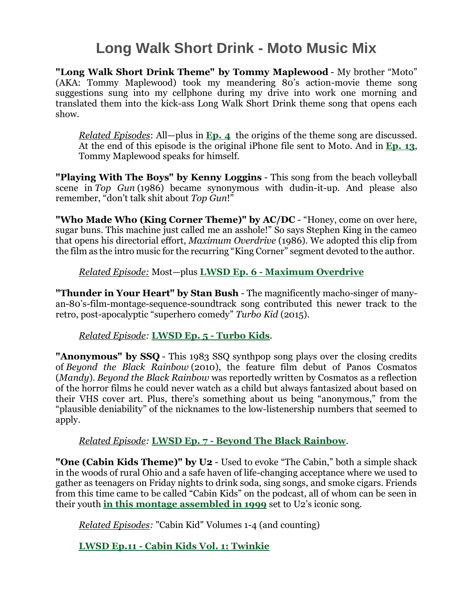# **Long Walk Short Drink - Moto Music Mix**

**"Long Walk Short Drink Theme" by Tommy Maplewood** - My brother "Moto" (AKA: Tommy Maplewood) took my meandering 80's action-movie theme song suggestions sung into my cellphone during my drive into work one morning and translated them into the kick-ass Long Walk Short Drink theme song that opens each show.

*Related Episodes*: All—plus in **[Ep.](https://www.davidullman.net/lwsdpod/episode/be25a004/lwsd-episode-4-nickel-a-knob) 4** the origins of the theme song are discussed. At the end of this episode is the original iPhone file sent to Moto. And in **[Ep.](https://www.davidullman.net/lwsdpod/episode/bd61bc74/lwsd-episode-13-cyborg) 13**, Tommy Maplewood speaks for himself.

**"Playing With The Boys" by Kenny Loggins** - This song from the beach volleyball scene in *Top Gun* (1986) became synonymous with dudin-it-up. And please also remember, "don't talk shit about *Top Gun*!"

**"Who Made Who (King Corner Theme)" by AC/DC** - "Honey, come on over here, sugar buns. This machine just called me an asshole!" So says Stephen King in the cameo that opens his directorial effort, *Maximum Overdrive* (1986). We adopted this clip from the film as the intro music for the recurring "King Corner" segment devoted to the author.

#### *Related Episode:* Most—plus **LWSD Ep. 6 - [Maximum](https://www.davidullman.net/lwsdpod/episode/c0505484/lwsd-episode-6-maximum-overdrive) Overdrive**

**"Thunder in Your Heart" by Stan Bush** - The magnificently macho-singer of manyan-80's-film-montage-sequence-soundtrack song contributed this newer track to the retro, post-apocalyptic "superhero comedy" *Turbo Kid* (2015).

#### *Related Episode:* **[LWSD](https://www.davidullman.net/lwsdpod/episode/c0726b6b/lwsd-episode-5-turbo-kids) Ep. 5 - Turbo Kids**.

**"Anonymous" by SSQ** - This 1983 SSQ synthpop song plays over the closing credits of *Beyond the Black Rainbow* (2010), the feature film debut of Panos Cosmatos (*Mandy*). *Beyond the Black Rainbow* was reportedly written by Cosmatos as a reflection of the horror films he could never watch as a child but always fantasized about based on their VHS cover art. Plus, there's something about us being "anonymous," from the "plausible deniability" of the nicknames to the low-listenership numbers that seemed to apply.

## *Related Episode:* **LWSD Ep. 7 - Beyond The Black [Rainbow](https://www.davidullman.net/lwsdpod/episode/c03ee4d1/lwsd-episode-7-beyond-the-black-rainbow)**.

**"One (Cabin Kids Theme)" by U2** - Used to evoke "The Cabin," both a simple shack in the woods of rural Ohio and a safe haven of life-changing acceptance where we used to gather as teenagers on Friday nights to drink soda, sing songs, and smoke cigars. Friends from this time came to be called "Cabin Kids" on the podcast, all of whom can be seen in their youth **in this montage [assembled](https://youtu.be/Y8kaZaUgQ1I) in 1999** set to U2's iconic song.

*Related Episodes:* "Cabin Kid" Volumes 1-4 (and counting)

**LWSD Ep.11 - Cabin Kids Vol. 1: [Twinkie](https://www.davidullman.net/lwsdpod/episode/c15b589e/lwsd-episode-11-cabin-kids-vol-1-twinkie)**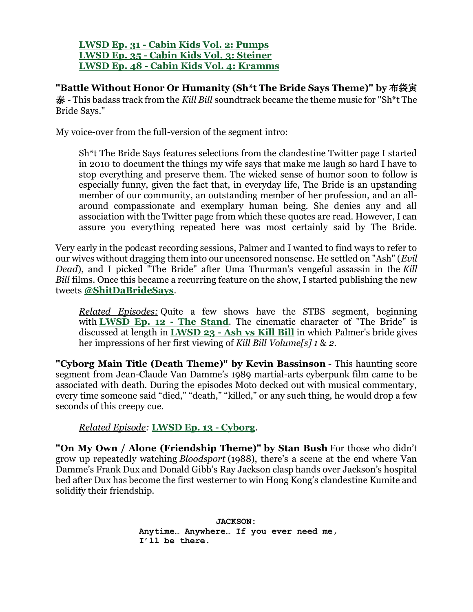**LWSD Ep. 31 - Cabin Kids Vol. 2: [Pumps](https://www.davidullman.net/lwsdpod/episode/c07e493e/lwsd31-cabin-kids-vol-2-pumps) LWSD Ep. 35 - Cabin Kids Vol. 3: [Steiner](https://www.davidullman.net/lwsdpod/episode/bfe34fed/lwsd35-cabin-kids-vol-3-steiner) LWSD Ep. 48 - Cabin Kids Vol. 4: [Kramms](https://www.davidullman.net/lwsdpod/episode/c0060faf/lwsd48-cabin-kids-vol-4-kramms)**

**"Battle Without Honor Or Humanity (Sh\*t The Bride Says Theme)" by** 布袋寅 泰 - This badass track from the *Kill Bill* soundtrack became the theme music for "Sh\*t The Bride Says."

My voice-over from the full-version of the segment intro:

Sh\*t The Bride Says features selections from the clandestine Twitter page I started in 2010 to document the things my wife says that make me laugh so hard I have to stop everything and preserve them. The wicked sense of humor soon to follow is especially funny, given the fact that, in everyday life, The Bride is an upstanding member of our community, an outstanding member of her profession, and an allaround compassionate and exemplary human being. She denies any and all association with the Twitter page from which these quotes are read. However, I can assure you everything repeated here was most certainly said by The Bride.

Very early in the podcast recording sessions, Palmer and I wanted to find ways to refer to our wives without dragging them into our uncensored nonsense. He settled on "Ash" (*Evil Dead*), and I picked "The Bride" after Uma Thurman's vengeful assassin in the *Kill Bill* films. Once this became a recurring feature on the show, I started publishing the new tweets **[@ShitDaBrideSays](https://twitter.com/ShitDaBrideSays)**.

*Related Episodes:* Quite a few shows have the STBS segment, beginning with **[LWSD](https://www.davidullman.net/lwsdpod/episode/c21d72a1/lwsd-episode-12-the-stand) Ep. 12 - The Stand**. The cinematic character of "The Bride" is discussed at length in **[LWSD](https://www.davidullman.net/lwsdpod/episode/c0daf3cc/lwsd-23-ash-vs-kill-bill) 23 - Ash vs Kill Bill** in which Palmer's bride gives her impressions of her first viewing of *Kill Bill Volume[s] 1* & *2*.

**"Cyborg Main Title (Death Theme)" by Kevin Bassinson** - This haunting score segment from Jean-Claude Van Damme's 1989 martial-arts cyberpunk film came to be associated with death. During the episodes Moto decked out with musical commentary, every time someone said "died," "death," "killed," or any such thing, he would drop a few seconds of this creepy cue.

*Related Episode:* **LWSD Ep. 13 - [Cyborg](https://www.davidullman.net/lwsdpod/episode/bd61bc74/lwsd-episode-13-cyborg)**.

**"On My Own / Alone (Friendship Theme)" by Stan Bush** For those who didn't grow up repeatedly watching *Bloodsport* (1988), there's a scene at the end where Van Damme's Frank Dux and Donald Gibb's Ray Jackson clasp hands over Jackson's hospital bed after Dux has become the first westerner to win Hong Kong's clandestine Kumite and solidify their friendship.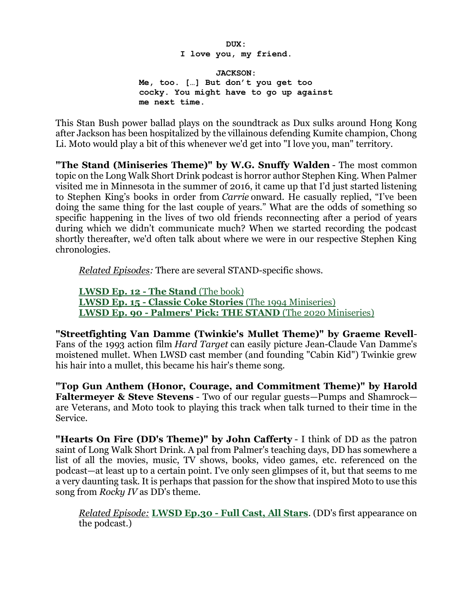**DUX: I love you, my friend.**

**JACKSON: Me, too. […] But don't you get too cocky. You might have to go up against me next time.**

This Stan Bush power ballad plays on the soundtrack as Dux sulks around Hong Kong after Jackson has been hospitalized by the villainous defending Kumite champion, Chong Li. Moto would play a bit of this whenever we'd get into "I love you, man" territory.

**"The Stand (Miniseries Theme)" by W.G. Snuffy Walden** - The most common topic on the Long Walk Short Drink podcast is horror author Stephen King. When Palmer visited me in Minnesota in the summer of 2016, it came up that I'd just started listening to Stephen King's books in order from *Carrie* onward. He casually replied, "I've been doing the same thing for the last couple of years." What are the odds of something so specific happening in the lives of two old friends reconnecting after a period of years during which we didn't communicate much? When we started recording the podcast shortly thereafter, we'd often talk about where we were in our respective Stephen King chronologies.

*Related Episodes:* There are several STAND-specific shows.

**[LWSD](https://www.davidullman.net/lwsdpod/episode/c21d72a1/lwsd-episode-12-the-stand) Ep. 12 - The Stand** (The [book\)](https://www.davidullman.net/lwsdpod/episode/c15b589e/lwsd-episode-11-cabin-kids-vol-1-twinkie) **LWSD Ep. 15 - Classic Coke [Stories](https://www.davidullman.net/lwsdpod/episode/c160b57c/lwsd-episode-15-classic-coke-stories)** (The 1994 [Miniseries\)](https://www.davidullman.net/lwsdpod/episode/c07e493e/lwsd31-cabin-kids-vol-2-pumps) **LWSD Ep. 90 - [Palmers'](https://www.davidullman.net/lwsdpod/episode/90932926/lwsd-ep-90-palmers-pick-the-stand-2020-miniseries) Pick: THE STAND** [\(T](https://www.davidullman.net/lwsdpod/episode/bfe34fed/lwsd35-cabin-kids-vol-3-steiner)he 2020 [Miniseries\)](https://www.davidullman.net/lwsdpod/episode/bfe34fed/lwsd35-cabin-kids-vol-3-steiner)

**"Streetfighting Van Damme (Twinkie's Mullet Theme)" by Graeme Revell**-Fans of the 1993 action film *Hard Target* can easily picture Jean-Claude Van Damme's moistened mullet. When LWSD cast member (and founding "Cabin Kid") Twinkie grew his hair into a mullet, this became his hair's theme song.

**"Top Gun Anthem (Honor, Courage, and Commitment Theme)" by Harold Faltermeyer & Steve Stevens** - Two of our regular guests—Pumps and Shamrock are Veterans, and Moto took to playing this track when talk turned to their time in the Service.

**"Hearts On Fire (DD's Theme)" by John Cafferty** - I think of DD as the patron saint of Long Walk Short Drink. A pal from Palmer's teaching days, DD has somewhere a list of all the movies, music, TV shows, books, video games, etc. referenced on the podcast—at least up to a certain point. I've only seen glimpses of it, but that seems to me a very daunting task. It is perhaps that passion for the show that inspired Moto to use this song from *Rocky IV* as DD's theme.

*Related Episode:* **[LWSD](https://www.davidullman.net/lwsdpod/episode/c1a4b8cc/lwsd30-full-cast-all-stars) Ep.30 - Full Cast, All Stars**. (DD's first appearance on the podcast.)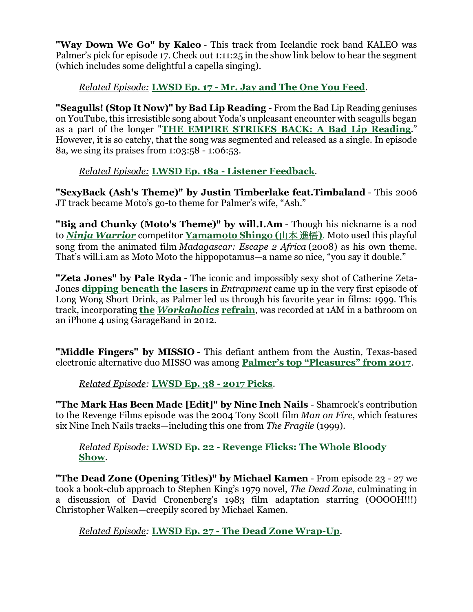**"Way Down We Go" by Kaleo** - This track from Icelandic rock band KALEO was Palmer's pick for episode 17. Check out 1:11:25 in the show link below to hear the segment (which includes some delightful a capella singing).

## *Related Episode:* **[LWSD](https://www.davidullman.net/lwsdpod/episode/be6ff1f8/lwsd-episode-17-mr-jay-and-the-one-you-feed) Ep. 17 - Mr. Jay and The One You Feed**.

**"Seagulls! (Stop It Now)" by Bad Lip Reading** - From the Bad Lip Reading geniuses on YouTube, this irresistible song about Yoda's unpleasant encounter with seagulls began as a part of the longer "**THE EMPIRE [STRIKES](https://youtu.be/UkiI2vM2lfA) BACK: A Bad Lip Reading**." However, it is so catchy, that the song was segmented and released as a single. In episode 8a, we sing its praises from 1:03:58 - 1:06:53.

*Related Episode:* **LWSD Ep. 18a - Listener [Feedback](https://www.davidullman.net/lwsdpod/episode/c0bb6f11/lwsd-episode-18a-listener-feedback)**.

**"SexyBack (Ash's Theme)" by Justin Timberlake feat.Timbaland** - This 2006 JT track became Moto's go-to theme for Palmer's wife, "Ash."

**"Big and Chunky (Moto's Theme)" by will.I.Am** - Though his nickname is a nod to *Ninja [Warrior](https://en.wikipedia.org/wiki/Sasuke_(TV_series))* competitor **[Yamamoto](https://sasukepedia.fandom.com/wiki/Yamamoto_Shingo) Shingo (**山本 進悟**)**. Moto used this playful song from the animated film *Madagascar: Escape 2 Africa* (2008) as his own theme. That's will.i.am as Moto Moto the hippopotamus—a name so nice, "you say it double."

**"Zeta Jones" by Pale Ryda** - The iconic and impossibly sexy shot of Catherine Zeta-Jones **dipping [beneath](https://twitter.com/lwsdpod/status/810572015753117698) the lasers** in *Entrapment* came up in the very first episode of Long Wong Short Drink, as Palmer led us through his favorite year in films: 1999. This track, incorporating **the** *[Workaholics](https://www.youtube.com/watch?v=O7dWnAFEHPM)* **refrain**, was recorded at 1AM in a bathroom on an iPhone 4 using GarageBand in 2012.

**"Middle Fingers" by MISSIO** - This defiant anthem from the Austin, Texas-based electronic alternative duo MISSO was among **Palmer's top ["Pleasures"](https://youtube.com/playlist?list=PL5DkVNaxB4DqI-Dh5BZUi4O1155FYGXLk) from 2017**.

*Related Episode:* **[LWSD](https://www.davidullman.net/lwsdpod/episode/c38afcbe/lwsd38-2017-picks) Ep. 38 - 2017 Picks**.

**"The Mark Has Been Made [Edit]" by Nine Inch Nails** - Shamrock's contribution to the Revenge Films episode was the 2004 Tony Scott film *Man on Fire*, which features six Nine Inch Nails tracks—including this one from *The Fragile* (1999).

*Related Episode:* **LWSD Ep. 22 - [Revenge](https://www.davidullman.net/lwsdpod/episode/bf4e7cb7/lwsd-22-revenge-flicks-the-whole-bloody-show) Flicks: The Whole Bloody [Show](https://www.davidullman.net/lwsdpod/episode/bf4e7cb7/lwsd-22-revenge-flicks-the-whole-bloody-show)**.

**"The Dead Zone (Opening Titles)" by Michael Kamen** - From episode 23 - 27 we took a book-club approach to Stephen King's 1979 novel, *The Dead Zone*, culminating in a discussion of David Cronenberg's 1983 film adaptation starring (OOOOH!!!) Christopher Walken—creepily scored by Michael Kamen.

*Related Episode:* **LWSD Ep. 27 - The Dead Zone [Wrap-Up](https://www.davidullman.net/lwsdpod/episode/c0e73ffd/lwsd27-the-dead-zone-wrap-up)**.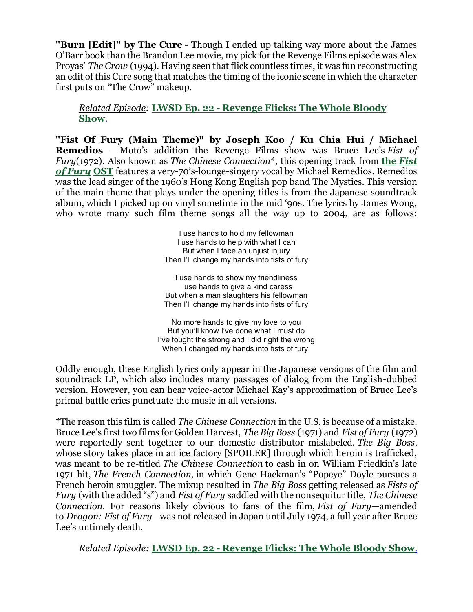**"Burn [Edit]" by The Cure** - Though I ended up talking way more about the James O'Barr book than the Brandon Lee movie, my pick for the Revenge Films episode was Alex Proyas' *The Crow* (1994). Having seen that flick countless times, it was fun reconstructing an edit of this Cure song that matches the timing of the iconic scene in which the character first puts on "The Crow" makeup.

#### *Related Episode:* **LWSD Ep. 22 - [Revenge](https://www.davidullman.net/lwsdpod/episode/bf4e7cb7/lwsd-22-revenge-flicks-the-whole-bloody-show) Flicks: The Whole Bloody [Show](https://www.davidullman.net/lwsdpod/episode/bf4e7cb7/lwsd-22-revenge-flicks-the-whole-bloody-show)**.

**"Fist Of Fury (Main Theme)" by Joseph Koo / Ku Chia Hui / Michael Remedios** - Moto's addition the Revenge Films show was Bruce Lee's *Fist of Fury*(1972). Also known as *The Chinese Connection*\*, this opening track from **the** *[Fist](https://www.allmusic.com/album/fist-of-fury-original-soundtrack-recording-mw0000461490) of [Fury](https://www.allmusic.com/album/fist-of-fury-original-soundtrack-recording-mw0000461490)* **OST** features a very-70's-lounge-singery vocal by Michael Remedios. Remedios was the lead singer of the 1960's Hong Kong English pop band The Mystics. This version of the main theme that plays under the opening titles is from the Japanese soundtrack album, which I picked up on vinyl sometime in the mid '90s. The lyrics by James Wong, who wrote many such film theme songs all the way up to 2004, are as follows:

> I use hands to hold my fellowman I use hands to help with what I can But when I face an unjust injury Then I'll change my hands into fists of fury

> I use hands to show my friendliness I use hands to give a kind caress But when a man slaughters his fellowman Then I'll change my hands into fists of fury

No more hands to give my love to you But you'll know I've done what I must do I've fought the strong and I did right the wrong When I changed my hands into fists of fury.

Oddly enough, these English lyrics only appear in the Japanese versions of the film and soundtrack LP, which also includes many passages of dialog from the English-dubbed version. However, you can hear voice-actor Michael Kay's approximation of Bruce Lee's primal battle cries punctuate the music in all versions.

\*The reason this film is called *The Chinese Connection* in the U.S. is because of a mistake. Bruce Lee's first two films for Golden Harvest, *The Big Boss* (1971) and *Fist of Fury* (1972) were reportedly sent together to our domestic distributor mislabeled. *The Big Boss*, whose story takes place in an ice factory [SPOILER] through which heroin is trafficked, was meant to be re-titled *The Chinese Connection* to cash in on William Friedkin's late 1971 hit, *The French Connection,* in which Gene Hackman's "Popeye" Doyle pursues a French heroin smuggler. The mixup resulted in *The Big Boss* getting released as *Fists of Fury* (with the added "s") and *Fist of Fury* saddled with the nonsequitur title, *The Chinese Connection*. For reasons likely obvious to fans of the film, *Fist of Fury*—amended to *Dragon: Fist of Fury*—was not released in Japan until July 1974, a full year after Bruce Lee's untimely death.

*Related Episode:* **LWSD Ep. 22 - [Revenge](https://www.davidullman.net/lwsdpod/episode/bf4e7cb7/lwsd-22-revenge-flicks-the-whole-bloody-show) Flicks: The Whole Bloody Show**.